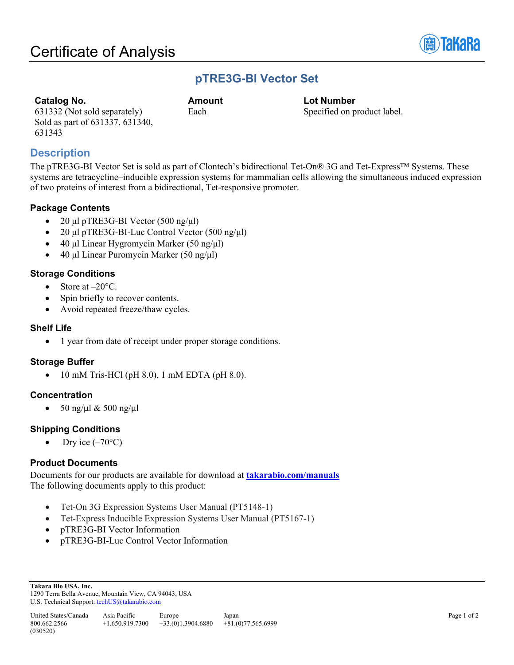631332 (Not sold separately) Sold as part of 631337, 631340,



## **pTRE3G-BI Vector Set**

**Catalog No. Amount Lot Number**

Each Specified on product label.

## **Description**

631343

The pTRE3G-BI Vector Set is sold as part of Clontech's bidirectional Tet-On® 3G and Tet-Express™ Systems. These systems are tetracycline–inducible expression systems for mammalian cells allowing the simultaneous induced expression of two proteins of interest from a bidirectional, Tet-responsive promoter.

#### **Package Contents**

- 20 μl pTRE3G-BI Vector  $(500 \text{ ng/µl})$
- 20 μl pTRE3G-BI-Luc Control Vector (500 ng/μl)
- 40 μl Linear Hygromycin Marker (50 ng/μl)
- 40 μl Linear Puromycin Marker (50 ng/μl)

#### **Storage Conditions**

- Store at  $-20^{\circ}$ C.
- Spin briefly to recover contents.
- Avoid repeated freeze/thaw cycles.

#### **Shelf Life**

• 1 year from date of receipt under proper storage conditions.

## **Storage Buffer**

• 10 mM Tris-HCl (pH 8.0), 1 mM EDTA (pH 8.0).

## **Concentration**

• 50 ng/μl & 500 ng/μl

## **Shipping Conditions**

• Dry ice  $(-70^{\circ}C)$ 

#### **Product Documents**

Documents for our products are available for download at **[takarabio.com/manuals](http://www.takarabio.com/manuals)** The following documents apply to this product:

- Tet-On 3G Expression Systems User Manual (PT5148-1)
- Tet-Express Inducible Expression Systems User Manual (PT5167-1)
- pTRE3G-BI Vector Information
- pTRE3G-BI-Luc Control Vector Information

**Takara Bio USA, Inc.**  1290 Terra Bella Avenue, Mountain View, CA 94043, USA U.S. Technical Support[: techUS@takarabio.com](mailto:techUS@takarabio.com)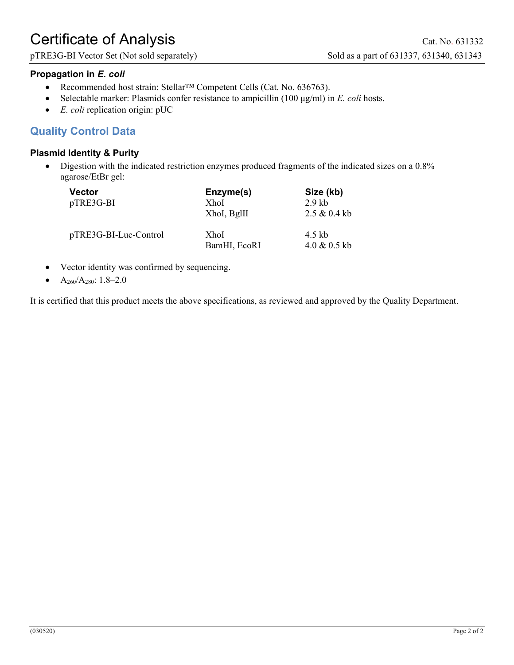# Certificate of Analysis Cat. No. 631332

pTRE3G-BI Vector Set (Not sold separately) Sold as a part of 631337, 631340, 631343

## **Propagation in** *E. coli*

- Recommended host strain: Stellar™ Competent Cells (Cat. No. 636763).
- Selectable marker: Plasmids confer resistance to ampicillin (100 μg/ml) in *E. coli* hosts.
- *E. coli* replication origin: pUC

## **Quality Control Data**

## **Plasmid Identity & Purity**

• Digestion with the indicated restriction enzymes produced fragments of the indicated sizes on a 0.8% agarose/EtBr gel:

| <b>Vector</b><br>pTRE3G-BI | Enzyme(s)<br><b>XhoI</b><br>XhoI, BglII | Size (kb)<br>$2.9$ kb<br>2.5 & 0.4 k |
|----------------------------|-----------------------------------------|--------------------------------------|
| pTRE3G-BI-Luc-Control      | <b>XhoI</b><br>BamHI, EcoRI             | 4.5 kb<br>$4.0 \& 0.5$ kb            |

- Vector identity was confirmed by sequencing.
- A260/A280: 1.8–2.0

It is certified that this product meets the above specifications, as reviewed and approved by the Quality Department.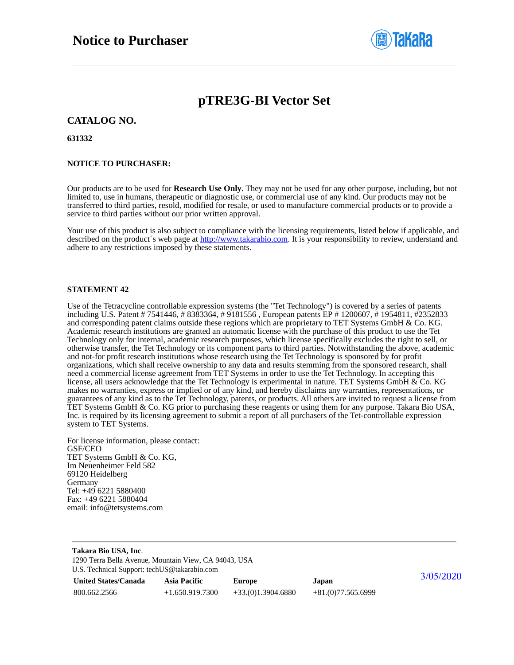

# **pTRE3G-BI Vector Set**

#### **CATALOG NO.**

**631332**

#### **NOTICE TO PURCHASER:**

Our products are to be used for **Research Use Only**. They may not be used for any other purpose, including, but not limited to, use in humans, therapeutic or diagnostic use, or commercial use of any kind. Our products may not be transferred to third parties, resold, modified for resale, or used to manufacture commercial products or to provide a service to third parties without our prior written approval.

Your use of this product is also subject to compliance with the licensing requirements, listed below if applicable, and described on the product's web page at [http://www.takarabio.com.](http://www.takarabio.com/) It is your responsibility to review, understand and adhere to any restrictions imposed by these statements.

#### **STATEMENT 42**

Use of the Tetracycline controllable expression systems (the "Tet Technology") is covered by a series of patents including U.S. Patent # 7541446, # 8383364, # 9181556 , European patents EP # 1200607, # 1954811, #2352833 and corresponding patent claims outside these regions which are proprietary to TET Systems GmbH & Co. KG. Academic research institutions are granted an automatic license with the purchase of this product to use the Tet Technology only for internal, academic research purposes, which license specifically excludes the right to sell, or otherwise transfer, the Tet Technology or its component parts to third parties. Notwithstanding the above, academic and not-for profit research institutions whose research using the Tet Technology is sponsored by for profit organizations, which shall receive ownership to any data and results stemming from the sponsored research, shall need a commercial license agreement from TET Systems in order to use the Tet Technology. In accepting this license, all users acknowledge that the Tet Technology is experimental in nature. TET Systems GmbH  $\&$  Co. KG makes no warranties, express or implied or of any kind, and hereby disclaims any warranties, representations, or guarantees of any kind as to the Tet Technology, patents, or products. All others are invited to request a license from TET Systems GmbH & Co. KG prior to purchasing these reagents or using them for any purpose. Takara Bio USA, Inc. is required by its licensing agreement to submit a report of all purchasers of the Tet-controllable expression system to TET Systems.

For license information, please contact: GSF/CEO TET Systems GmbH & Co. KG, Im Neuenheimer Feld 582 69120 Heidelberg Germany Tel: +49 6221 5880400 Fax: +49 6221 5880404 email: info@tetsystems.com

| Takara Bio USA, Inc.<br>1290 Terra Bella Avenue, Mountain View, CA 94043, USA |                     |                     |                     |           |  |
|-------------------------------------------------------------------------------|---------------------|---------------------|---------------------|-----------|--|
| U.S. Technical Support: techUS@takarabio.com                                  |                     |                     |                     |           |  |
| <b>United States/Canada</b>                                                   | <b>Asia Pacific</b> | <b>Europe</b>       | Japan               | 3/05/2020 |  |
| 800.662.2566                                                                  | $+1.650.919.7300$   | $+33(0)1.3904.6880$ | $+81(0)77.565.6999$ |           |  |